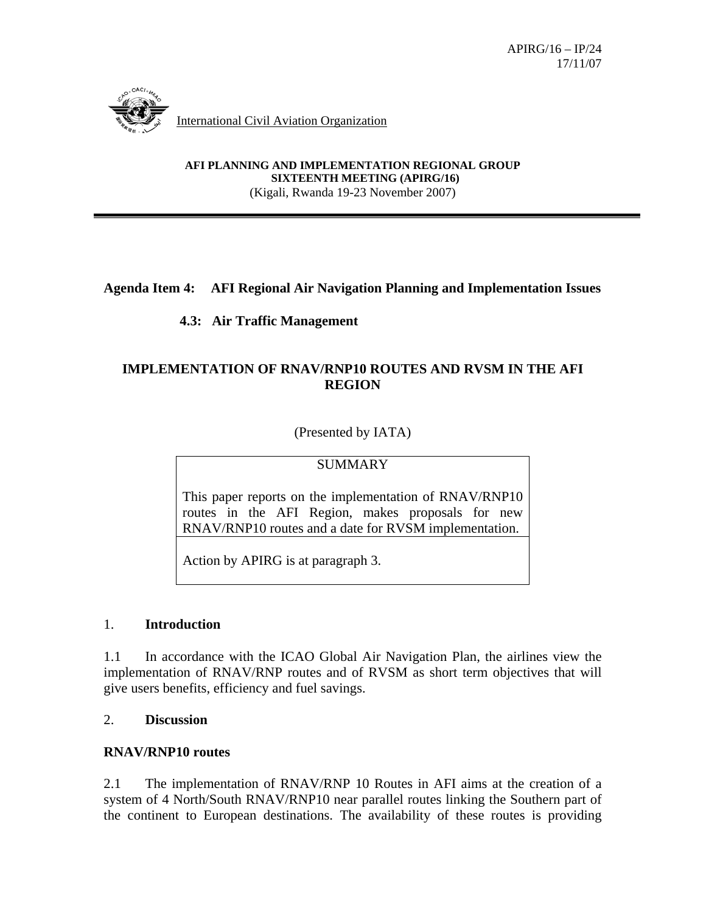

International Civil Aviation Organization

**AFI PLANNING AND IMPLEMENTATION REGIONAL GROUP SIXTEENTH MEETING (APIRG/16)** (Kigali, Rwanda 19-23 November 2007)

### **Agenda Item 4: AFI Regional Air Navigation Planning and Implementation Issues**

# **4.3: Air Traffic Management**

# **IMPLEMENTATION OF RNAV/RNP10 ROUTES AND RVSM IN THE AFI REGION**

(Presented by IATA)

# **SUMMARY**

This paper reports on the implementation of RNAV/RNP10 routes in the AFI Region, makes proposals for new RNAV/RNP10 routes and a date for RVSM implementation.

Action by APIRG is at paragraph 3.

### 1. **Introduction**

1.1 In accordance with the ICAO Global Air Navigation Plan, the airlines view the implementation of RNAV/RNP routes and of RVSM as short term objectives that will give users benefits, efficiency and fuel savings.

### 2. **Discussion**

### **RNAV/RNP10 routes**

2.1 The implementation of RNAV/RNP 10 Routes in AFI aims at the creation of a system of 4 North/South RNAV/RNP10 near parallel routes linking the Southern part of the continent to European destinations. The availability of these routes is providing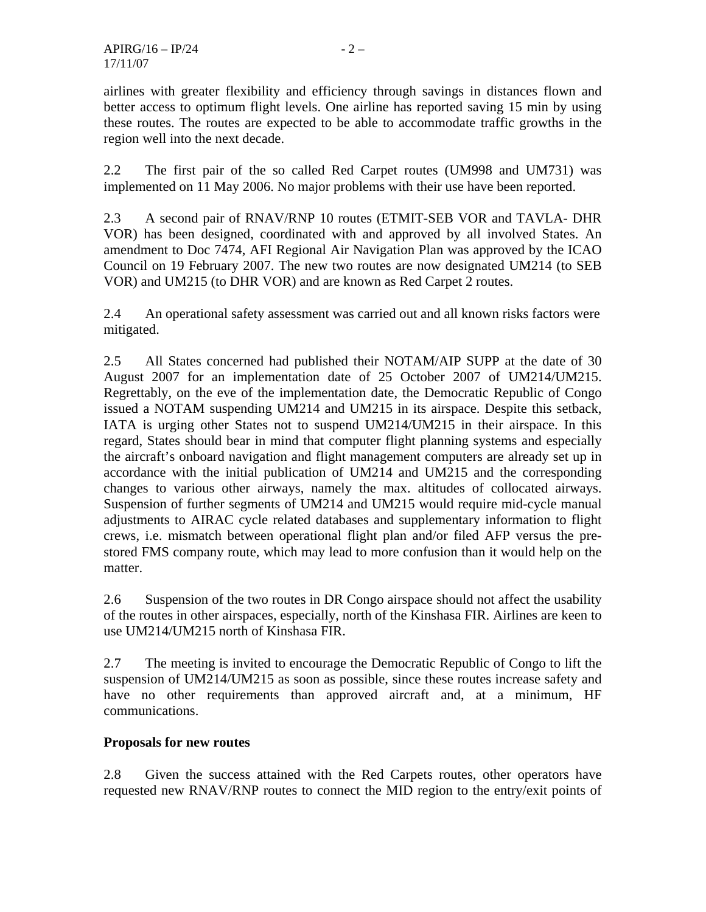airlines with greater flexibility and efficiency through savings in distances flown and better access to optimum flight levels. One airline has reported saving 15 min by using these routes. The routes are expected to be able to accommodate traffic growths in the region well into the next decade.

2.2 The first pair of the so called Red Carpet routes (UM998 and UM731) was implemented on 11 May 2006. No major problems with their use have been reported.

2.3 A second pair of RNAV/RNP 10 routes (ETMIT-SEB VOR and TAVLA- DHR VOR) has been designed, coordinated with and approved by all involved States. An amendment to Doc 7474, AFI Regional Air Navigation Plan was approved by the ICAO Council on 19 February 2007. The new two routes are now designated UM214 (to SEB VOR) and UM215 (to DHR VOR) and are known as Red Carpet 2 routes.

2.4 An operational safety assessment was carried out and all known risks factors were mitigated.

2.5 All States concerned had published their NOTAM/AIP SUPP at the date of 30 August 2007 for an implementation date of 25 October 2007 of UM214/UM215. Regrettably, on the eve of the implementation date, the Democratic Republic of Congo issued a NOTAM suspending UM214 and UM215 in its airspace. Despite this setback, IATA is urging other States not to suspend UM214/UM215 in their airspace. In this regard, States should bear in mind that computer flight planning systems and especially the aircraft's onboard navigation and flight management computers are already set up in accordance with the initial publication of UM214 and UM215 and the corresponding changes to various other airways, namely the max. altitudes of collocated airways. Suspension of further segments of UM214 and UM215 would require mid-cycle manual adjustments to AIRAC cycle related databases and supplementary information to flight crews, i.e. mismatch between operational flight plan and/or filed AFP versus the prestored FMS company route, which may lead to more confusion than it would help on the matter.

2.6 Suspension of the two routes in DR Congo airspace should not affect the usability of the routes in other airspaces, especially, north of the Kinshasa FIR. Airlines are keen to use UM214/UM215 north of Kinshasa FIR.

2.7 The meeting is invited to encourage the Democratic Republic of Congo to lift the suspension of UM214/UM215 as soon as possible, since these routes increase safety and have no other requirements than approved aircraft and, at a minimum, HF communications.

# **Proposals for new routes**

2.8 Given the success attained with the Red Carpets routes, other operators have requested new RNAV/RNP routes to connect the MID region to the entry/exit points of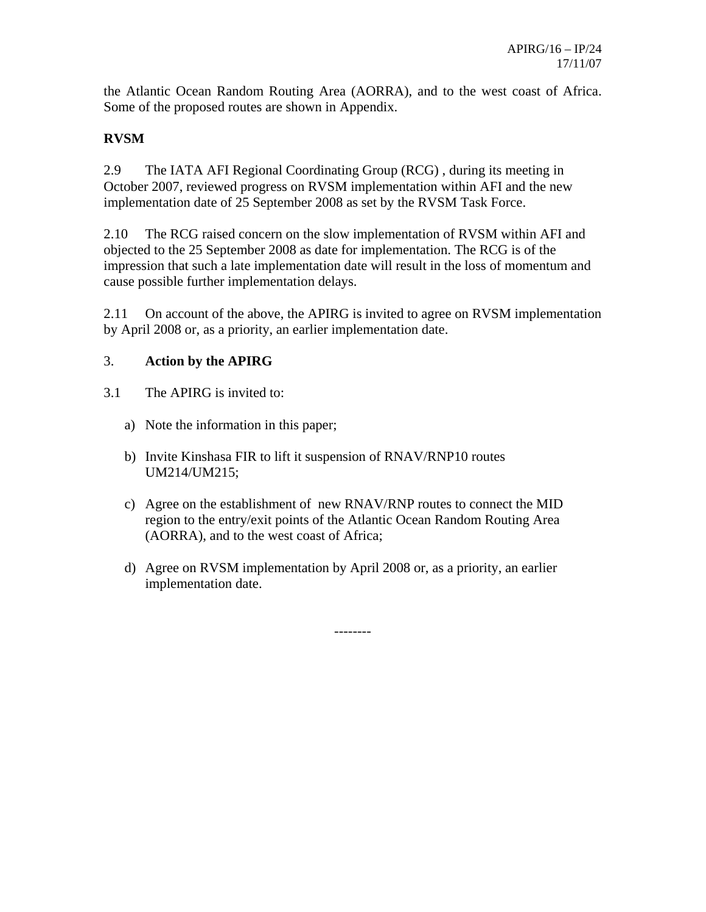the Atlantic Ocean Random Routing Area (AORRA), and to the west coast of Africa. Some of the proposed routes are shown in Appendix.

# **RVSM**

2.9 The IATA AFI Regional Coordinating Group (RCG) , during its meeting in October 2007, reviewed progress on RVSM implementation within AFI and the new implementation date of 25 September 2008 as set by the RVSM Task Force.

2.10 The RCG raised concern on the slow implementation of RVSM within AFI and objected to the 25 September 2008 as date for implementation. The RCG is of the impression that such a late implementation date will result in the loss of momentum and cause possible further implementation delays.

2.11 On account of the above, the APIRG is invited to agree on RVSM implementation by April 2008 or, as a priority, an earlier implementation date.

# 3. **Action by the APIRG**

- 3.1 The APIRG is invited to:
	- a) Note the information in this paper;
	- b) Invite Kinshasa FIR to lift it suspension of RNAV/RNP10 routes UM214/UM215;
	- c) Agree on the establishment of new RNAV/RNP routes to connect the MID region to the entry/exit points of the Atlantic Ocean Random Routing Area (AORRA), and to the west coast of Africa;
	- d) Agree on RVSM implementation by April 2008 or, as a priority, an earlier implementation date.

--------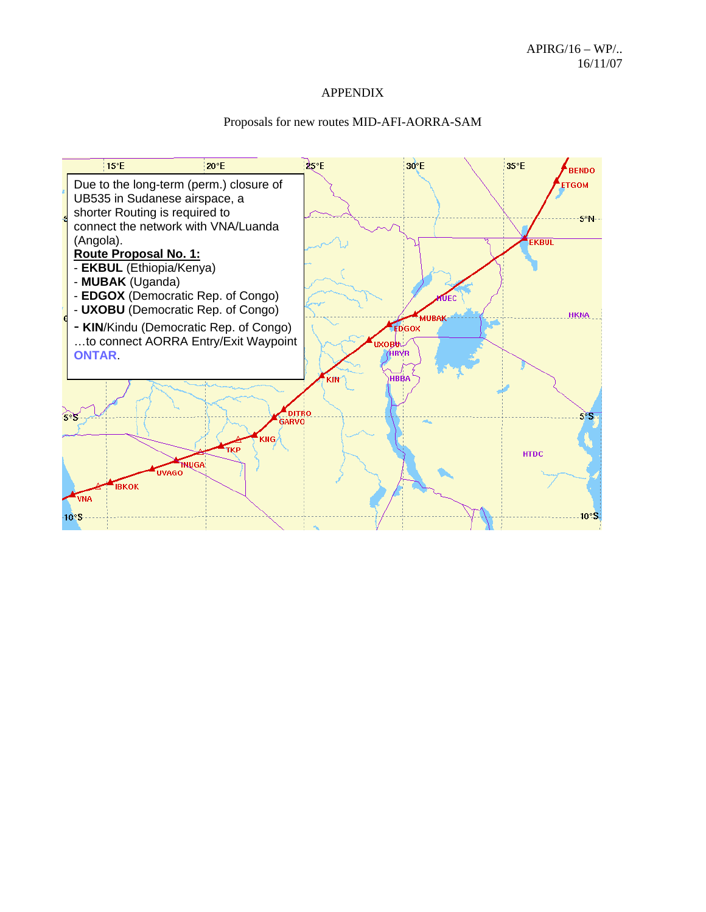#### APPENDIX

#### Proposals for new routes MID-AFI-AORRA-SAM

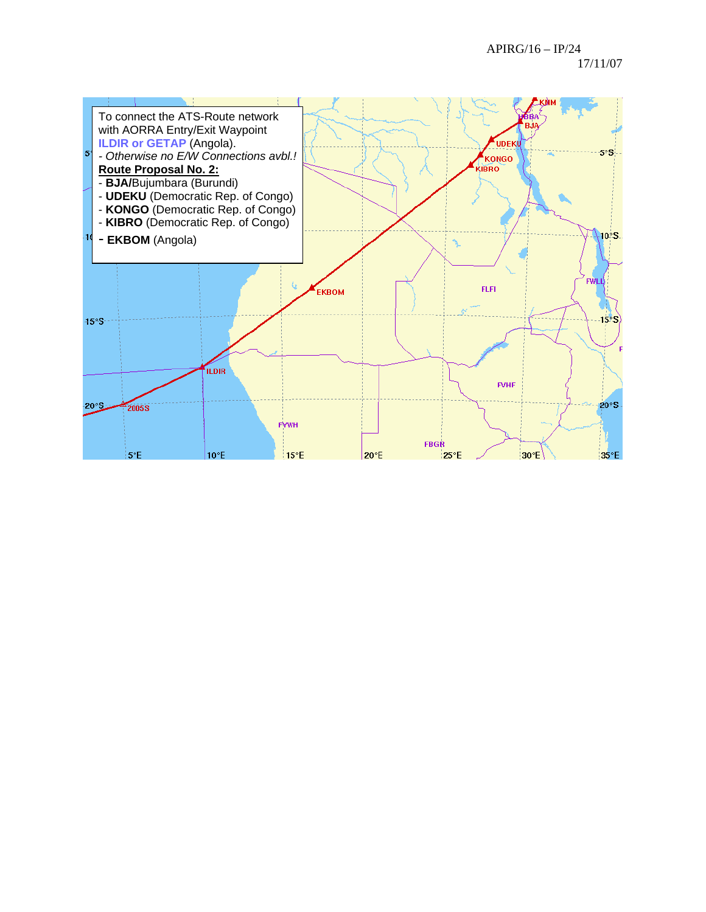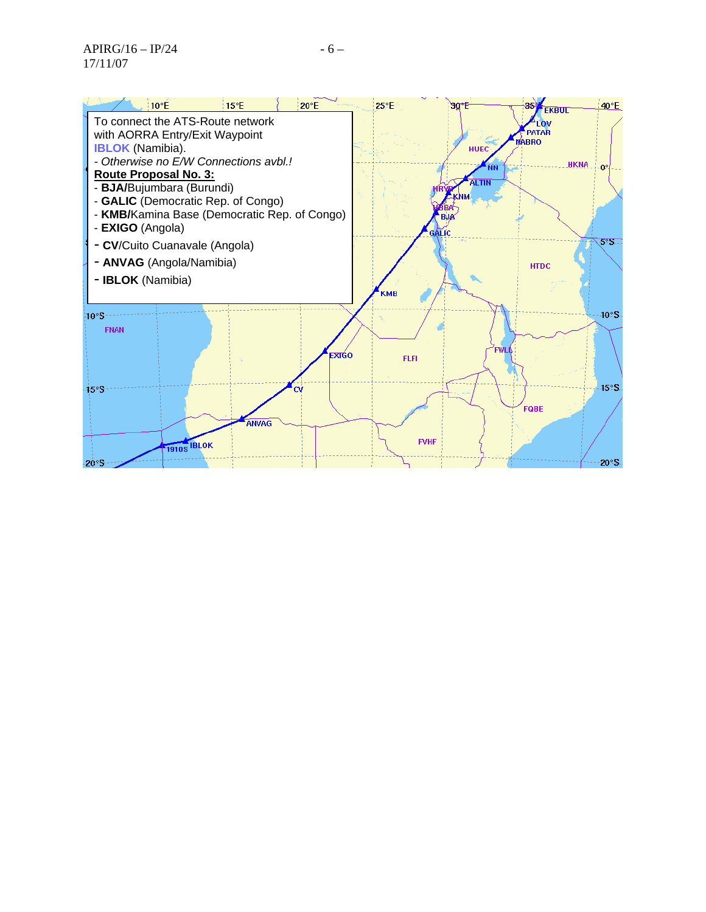